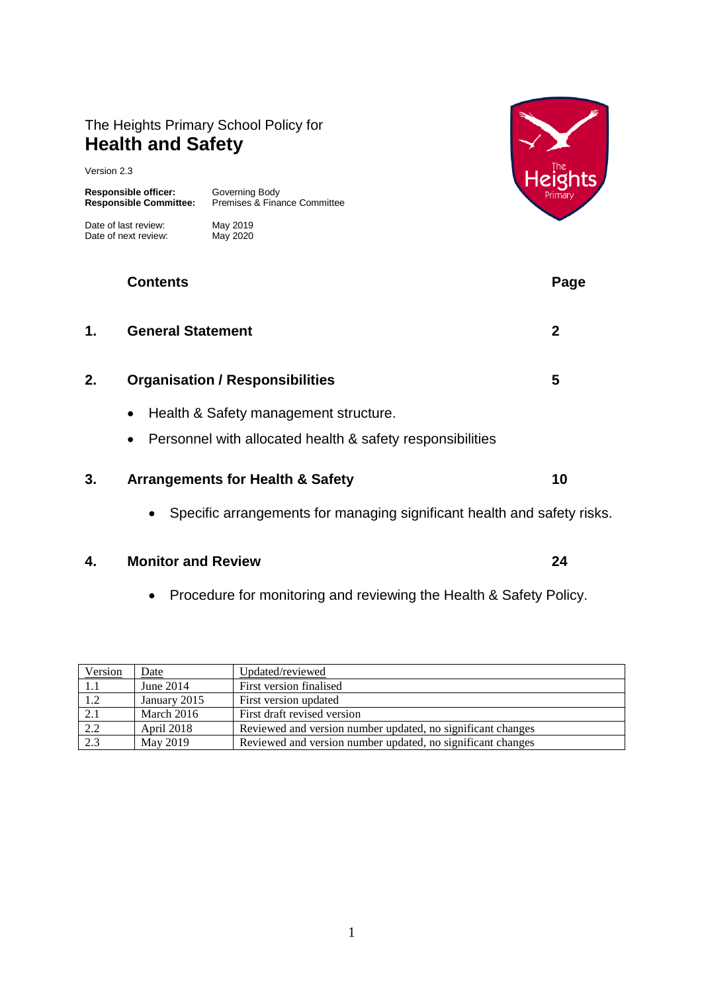# The Heights Primary School Policy for **Health and Safety**

Version 2.3

**Responsible officer:** Governing Body<br> **Responsible Committee:** Premises & Fina

Date of last review: May 2019<br>Date of next review: May 2020 Date of next review:

**Responsible Committee:** Premises & Finance Committee



|    | <b>Contents</b>                                                                                                              | Page |
|----|------------------------------------------------------------------------------------------------------------------------------|------|
| 1. | <b>General Statement</b>                                                                                                     | 2    |
| 2. | <b>Organisation / Responsibilities</b>                                                                                       | 5    |
|    | Health & Safety management structure.<br>$\bullet$<br>Personnel with allocated health & safety responsibilities<br>$\bullet$ |      |
| 3. | <b>Arrangements for Health &amp; Safety</b>                                                                                  | 10   |
|    | Specific arrangements for managing significant health and safety risks.<br>$\bullet$                                         |      |

#### **4. Monitor and Review 24**

Procedure for monitoring and reviewing the Health & Safety Policy.

| Version | Date         | Updated/reviewed                                            |  |
|---------|--------------|-------------------------------------------------------------|--|
| 1.1     | June $2014$  | First version finalised                                     |  |
| 1.2     | January 2015 | First version updated                                       |  |
| 2.1     | March 2016   | First draft revised version                                 |  |
| 2.2     | April 2018   | Reviewed and version number updated, no significant changes |  |
| 2.3     | May 2019     | Reviewed and version number updated, no significant changes |  |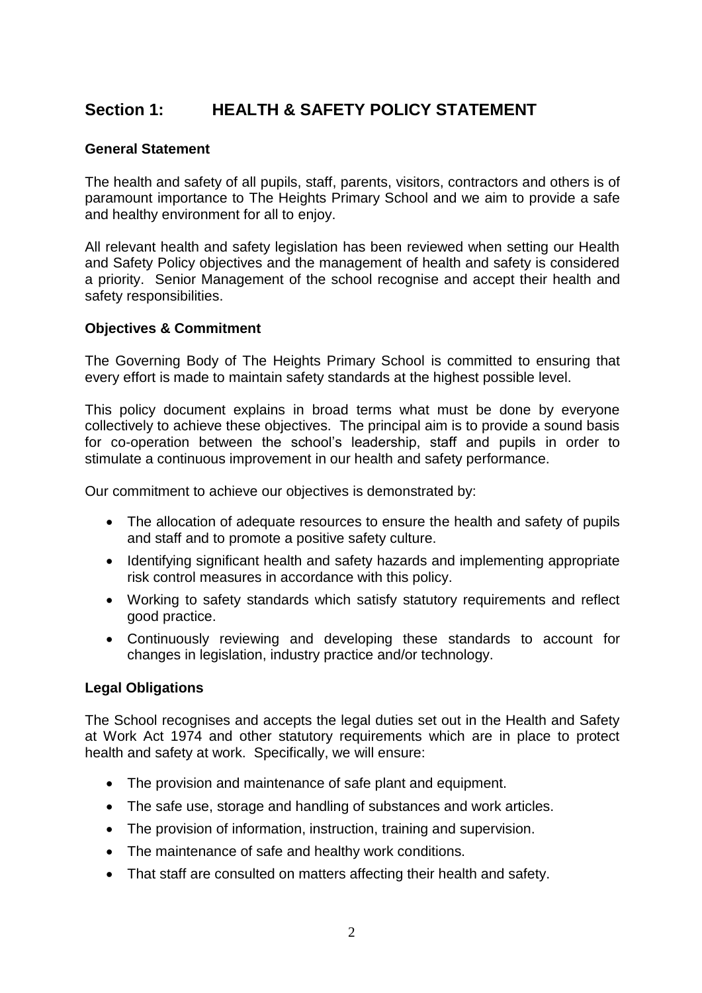# **Section 1: HEALTH & SAFETY POLICY STATEMENT**

#### **General Statement**

The health and safety of all pupils, staff, parents, visitors, contractors and others is of paramount importance to The Heights Primary School and we aim to provide a safe and healthy environment for all to enjoy.

All relevant health and safety legislation has been reviewed when setting our Health and Safety Policy objectives and the management of health and safety is considered a priority. Senior Management of the school recognise and accept their health and safety responsibilities.

#### **Objectives & Commitment**

The Governing Body of The Heights Primary School is committed to ensuring that every effort is made to maintain safety standards at the highest possible level.

This policy document explains in broad terms what must be done by everyone collectively to achieve these objectives. The principal aim is to provide a sound basis for co-operation between the school's leadership, staff and pupils in order to stimulate a continuous improvement in our health and safety performance.

Our commitment to achieve our objectives is demonstrated by:

- The allocation of adequate resources to ensure the health and safety of pupils and staff and to promote a positive safety culture.
- Identifying significant health and safety hazards and implementing appropriate risk control measures in accordance with this policy.
- Working to safety standards which satisfy statutory requirements and reflect good practice.
- Continuously reviewing and developing these standards to account for changes in legislation, industry practice and/or technology.

#### **Legal Obligations**

The School recognises and accepts the legal duties set out in the Health and Safety at Work Act 1974 and other statutory requirements which are in place to protect health and safety at work. Specifically, we will ensure:

- The provision and maintenance of safe plant and equipment.
- The safe use, storage and handling of substances and work articles.
- The provision of information, instruction, training and supervision.
- The maintenance of safe and healthy work conditions.
- That staff are consulted on matters affecting their health and safety.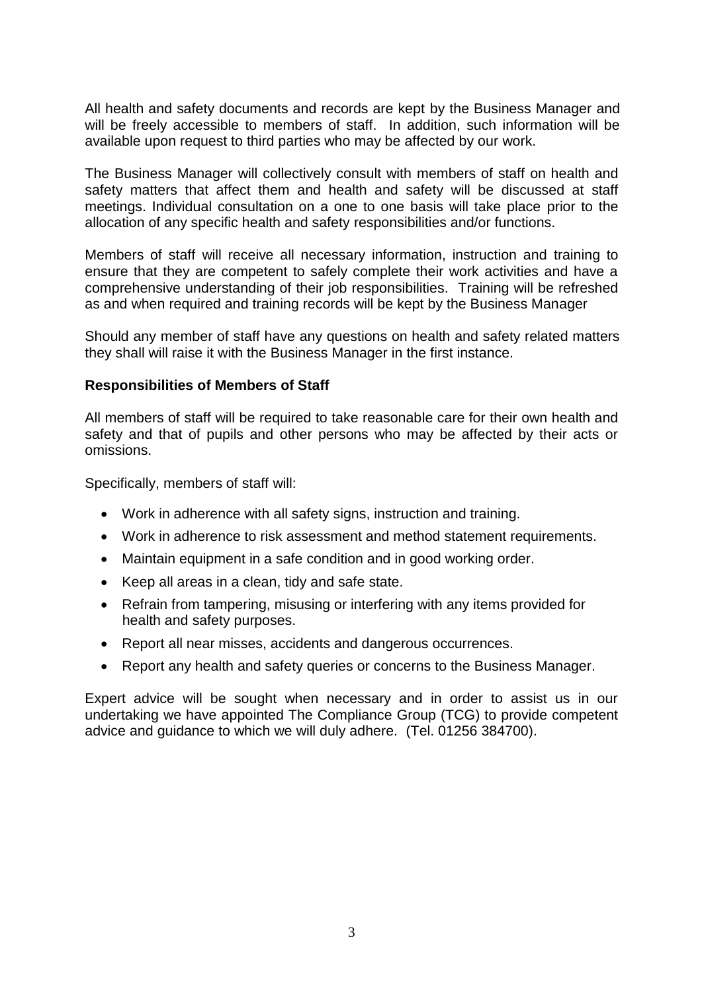All health and safety documents and records are kept by the Business Manager and will be freely accessible to members of staff. In addition, such information will be available upon request to third parties who may be affected by our work.

The Business Manager will collectively consult with members of staff on health and safety matters that affect them and health and safety will be discussed at staff meetings. Individual consultation on a one to one basis will take place prior to the allocation of any specific health and safety responsibilities and/or functions.

Members of staff will receive all necessary information, instruction and training to ensure that they are competent to safely complete their work activities and have a comprehensive understanding of their job responsibilities. Training will be refreshed as and when required and training records will be kept by the Business Manager

Should any member of staff have any questions on health and safety related matters they shall will raise it with the Business Manager in the first instance.

#### **Responsibilities of Members of Staff**

All members of staff will be required to take reasonable care for their own health and safety and that of pupils and other persons who may be affected by their acts or omissions.

Specifically, members of staff will:

- Work in adherence with all safety signs, instruction and training.
- Work in adherence to risk assessment and method statement requirements.
- Maintain equipment in a safe condition and in good working order.
- Keep all areas in a clean, tidy and safe state.
- Refrain from tampering, misusing or interfering with any items provided for health and safety purposes.
- Report all near misses, accidents and dangerous occurrences.
- Report any health and safety queries or concerns to the Business Manager.

Expert advice will be sought when necessary and in order to assist us in our undertaking we have appointed The Compliance Group (TCG) to provide competent advice and guidance to which we will duly adhere. (Tel. 01256 384700).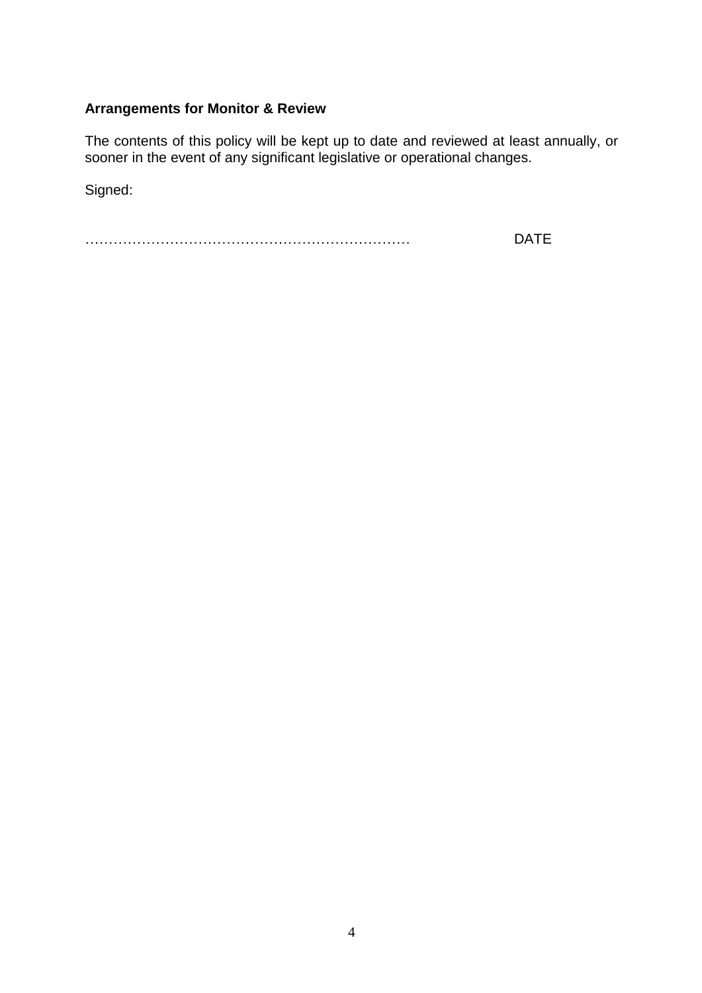# **Arrangements for Monitor & Review**

The contents of this policy will be kept up to date and reviewed at least annually, or sooner in the event of any significant legislative or operational changes.

Signed:

…………………………………………………………… DATE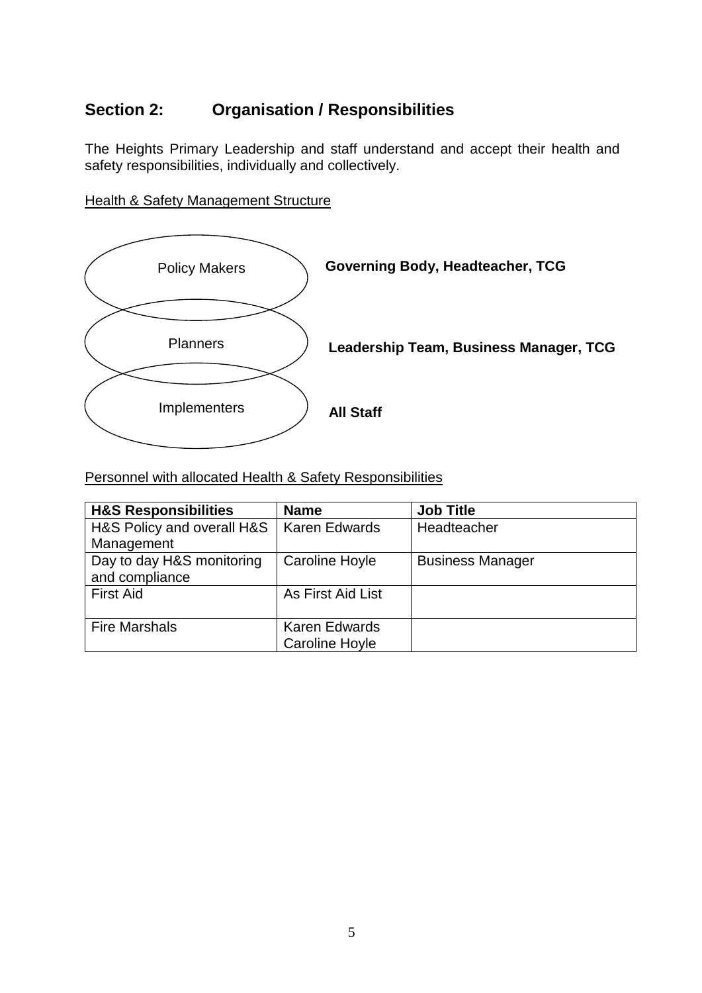# **Section 2: Organisation / Responsibilities**

The Heights Primary Leadership and staff understand and accept their health and safety responsibilities, individually and collectively.

**Health & Safety Management Structure** 



Personnel with allocated Health & Safety Responsibilities

| <b>H&amp;S Responsibilities</b> | <b>Name</b>          | <b>Job Title</b>        |
|---------------------------------|----------------------|-------------------------|
| H&S Policy and overall H&S      | <b>Karen Edwards</b> | Headteacher             |
| Management                      |                      |                         |
| Day to day H&S monitoring       | Caroline Hoyle       | <b>Business Manager</b> |
| and compliance                  |                      |                         |
| <b>First Aid</b>                | As First Aid List    |                         |
|                                 |                      |                         |
| <b>Fire Marshals</b>            | <b>Karen Edwards</b> |                         |
|                                 | Caroline Hoyle       |                         |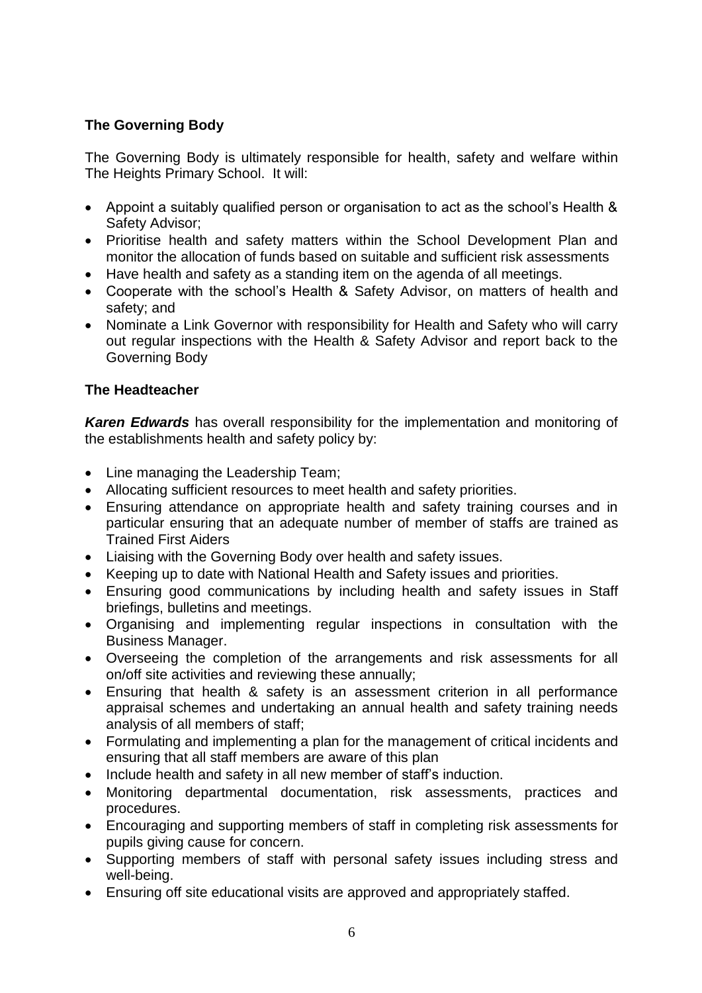# **The Governing Body**

The Governing Body is ultimately responsible for health, safety and welfare within The Heights Primary School. It will:

- Appoint a suitably qualified person or organisation to act as the school's Health & Safety Advisor;
- Prioritise health and safety matters within the School Development Plan and monitor the allocation of funds based on suitable and sufficient risk assessments
- Have health and safety as a standing item on the agenda of all meetings.
- Cooperate with the school's Health & Safety Advisor, on matters of health and safety; and
- Nominate a Link Governor with responsibility for Health and Safety who will carry out regular inspections with the Health & Safety Advisor and report back to the Governing Body

# **The Headteacher**

*Karen Edwards* has overall responsibility for the implementation and monitoring of the establishments health and safety policy by:

- Line managing the Leadership Team;
- Allocating sufficient resources to meet health and safety priorities.
- Ensuring attendance on appropriate health and safety training courses and in particular ensuring that an adequate number of member of staffs are trained as Trained First Aiders
- Liaising with the Governing Body over health and safety issues.
- Keeping up to date with National Health and Safety issues and priorities.
- Ensuring good communications by including health and safety issues in Staff briefings, bulletins and meetings.
- Organising and implementing regular inspections in consultation with the Business Manager.
- Overseeing the completion of the arrangements and risk assessments for all on/off site activities and reviewing these annually;
- Ensuring that health & safety is an assessment criterion in all performance appraisal schemes and undertaking an annual health and safety training needs analysis of all members of staff;
- Formulating and implementing a plan for the management of critical incidents and ensuring that all staff members are aware of this plan
- Include health and safety in all new member of staff's induction.
- Monitoring departmental documentation, risk assessments, practices and procedures.
- Encouraging and supporting members of staff in completing risk assessments for pupils giving cause for concern.
- Supporting members of staff with personal safety issues including stress and well-being.
- Ensuring off site educational visits are approved and appropriately staffed.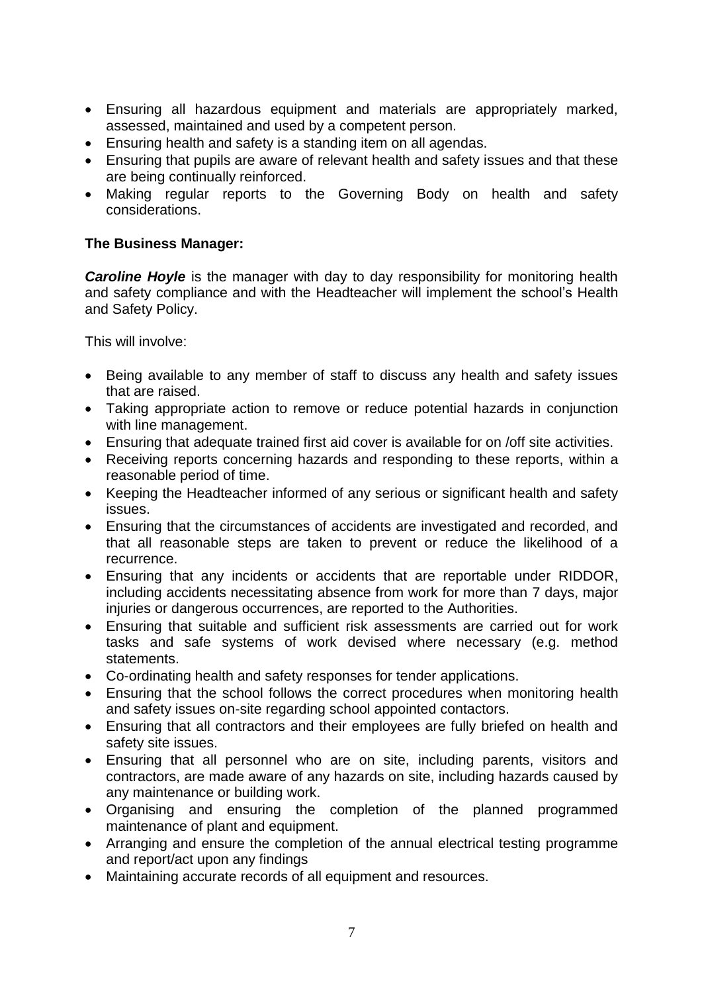- Ensuring all hazardous equipment and materials are appropriately marked, assessed, maintained and used by a competent person.
- Ensuring health and safety is a standing item on all agendas.
- Ensuring that pupils are aware of relevant health and safety issues and that these are being continually reinforced.
- Making regular reports to the Governing Body on health and safety considerations.

#### **The Business Manager:**

*Caroline Hoyle* is the manager with day to day responsibility for monitoring health and safety compliance and with the Headteacher will implement the school's Health and Safety Policy.

This will involve:

- Being available to any member of staff to discuss any health and safety issues that are raised.
- Taking appropriate action to remove or reduce potential hazards in conjunction with line management.
- Ensuring that adequate trained first aid cover is available for on /off site activities.
- Receiving reports concerning hazards and responding to these reports, within a reasonable period of time.
- Keeping the Headteacher informed of any serious or significant health and safety issues.
- Ensuring that the circumstances of accidents are investigated and recorded, and that all reasonable steps are taken to prevent or reduce the likelihood of a recurrence.
- Ensuring that any incidents or accidents that are reportable under RIDDOR, including accidents necessitating absence from work for more than 7 days, major injuries or dangerous occurrences, are reported to the Authorities.
- Ensuring that suitable and sufficient risk assessments are carried out for work tasks and safe systems of work devised where necessary (e.g. method statements.
- Co-ordinating health and safety responses for tender applications.
- Ensuring that the school follows the correct procedures when monitoring health and safety issues on-site regarding school appointed contactors.
- Ensuring that all contractors and their employees are fully briefed on health and safety site issues.
- Ensuring that all personnel who are on site, including parents, visitors and contractors, are made aware of any hazards on site, including hazards caused by any maintenance or building work.
- Organising and ensuring the completion of the planned programmed maintenance of plant and equipment.
- Arranging and ensure the completion of the annual electrical testing programme and report/act upon any findings
- Maintaining accurate records of all equipment and resources.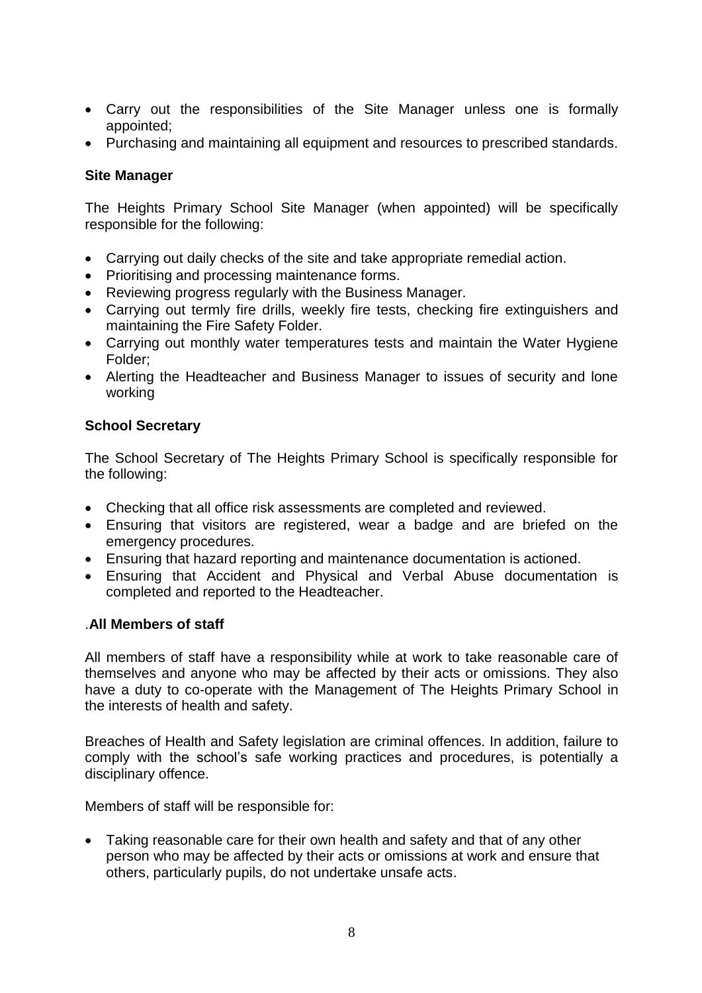- Carry out the responsibilities of the Site Manager unless one is formally appointed;
- Purchasing and maintaining all equipment and resources to prescribed standards.

#### **Site Manager**

The Heights Primary School Site Manager (when appointed) will be specifically responsible for the following:

- Carrying out daily checks of the site and take appropriate remedial action.
- Prioritising and processing maintenance forms.
- Reviewing progress regularly with the Business Manager.
- Carrying out termly fire drills, weekly fire tests, checking fire extinguishers and maintaining the Fire Safety Folder.
- Carrying out monthly water temperatures tests and maintain the Water Hygiene Folder;
- Alerting the Headteacher and Business Manager to issues of security and lone working

#### **School Secretary**

The School Secretary of The Heights Primary School is specifically responsible for the following:

- Checking that all office risk assessments are completed and reviewed.
- Ensuring that visitors are registered, wear a badge and are briefed on the emergency procedures.
- Ensuring that hazard reporting and maintenance documentation is actioned.
- Ensuring that Accident and Physical and Verbal Abuse documentation is completed and reported to the Headteacher.

#### .**All Members of staff**

All members of staff have a responsibility while at work to take reasonable care of themselves and anyone who may be affected by their acts or omissions. They also have a duty to co-operate with the Management of The Heights Primary School in the interests of health and safety.

Breaches of Health and Safety legislation are criminal offences. In addition, failure to comply with the school's safe working practices and procedures, is potentially a disciplinary offence.

Members of staff will be responsible for:

 Taking reasonable care for their own health and safety and that of any other person who may be affected by their acts or omissions at work and ensure that others, particularly pupils, do not undertake unsafe acts.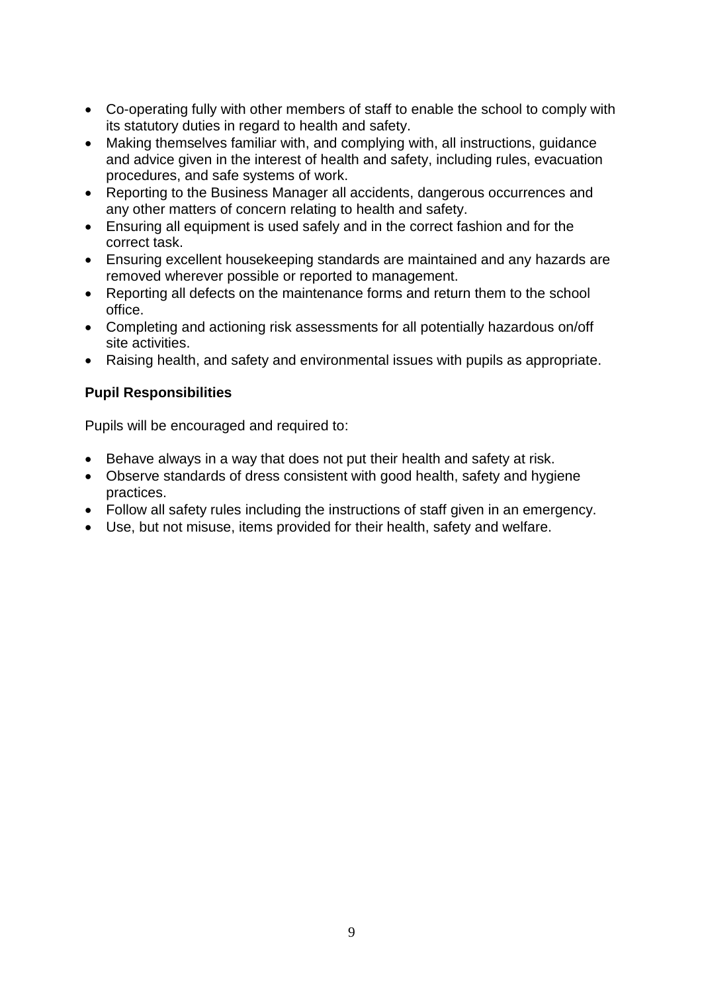- Co-operating fully with other members of staff to enable the school to comply with its statutory duties in regard to health and safety.
- Making themselves familiar with, and complying with, all instructions, guidance and advice given in the interest of health and safety, including rules, evacuation procedures, and safe systems of work.
- Reporting to the Business Manager all accidents, dangerous occurrences and any other matters of concern relating to health and safety.
- Ensuring all equipment is used safely and in the correct fashion and for the correct task.
- Ensuring excellent housekeeping standards are maintained and any hazards are removed wherever possible or reported to management.
- Reporting all defects on the maintenance forms and return them to the school office.
- Completing and actioning risk assessments for all potentially hazardous on/off site activities.
- Raising health, and safety and environmental issues with pupils as appropriate.

#### **Pupil Responsibilities**

Pupils will be encouraged and required to:

- Behave always in a way that does not put their health and safety at risk.
- Observe standards of dress consistent with good health, safety and hygiene practices.
- Follow all safety rules including the instructions of staff given in an emergency.
- Use, but not misuse, items provided for their health, safety and welfare.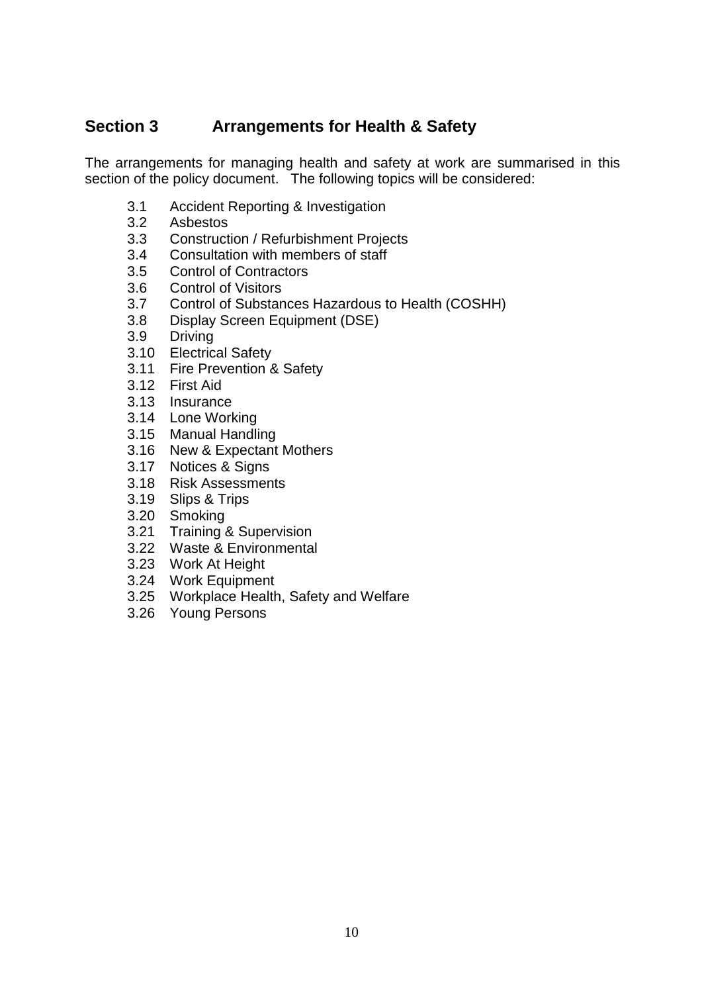# **Section 3 Arrangements for Health & Safety**

The arrangements for managing health and safety at work are summarised in this section of the policy document. The following topics will be considered:

- 3.1 Accident Reporting & Investigation
- 3.2 Asbestos
- 3.3 Construction / Refurbishment Projects
- 3.4 Consultation with members of staff
- 3.5 Control of Contractors
- 3.6 Control of Visitors<br>3.7 Control of Substar
- 3.7 Control of Substances Hazardous to Health (COSHH)
- 3.8 Display Screen Equipment (DSE)
- 3.9 Driving
- 3.10 Electrical Safety
- 3.11 Fire Prevention & Safety
- 3.12 First Aid
- 3.13 Insurance
- 3.14 Lone Working
- 3.15 Manual Handling
- 3.16 New & Expectant Mothers
- 3.17 Notices & Signs
- 3.18 Risk Assessments
- 3.19 Slips & Trips
- 3.20 Smoking
- 3.21 Training & Supervision
- 3.22 Waste & Environmental
- 3.23 Work At Height
- 3.24 Work Equipment
- 3.25 Workplace Health, Safety and Welfare
- 3.26 Young Persons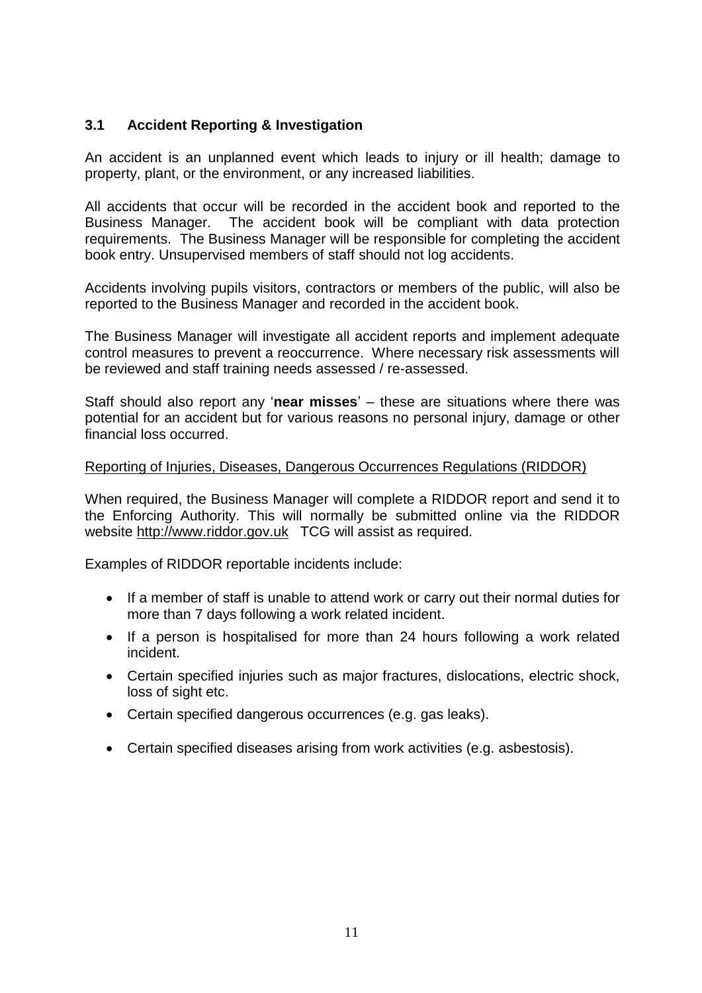### **3.1 Accident Reporting & Investigation**

An accident is an unplanned event which leads to injury or ill health; damage to property, plant, or the environment, or any increased liabilities.

All accidents that occur will be recorded in the accident book and reported to the Business Manager. The accident book will be compliant with data protection requirements. The Business Manager will be responsible for completing the accident book entry. Unsupervised members of staff should not log accidents.

Accidents involving pupils visitors, contractors or members of the public, will also be reported to the Business Manager and recorded in the accident book.

The Business Manager will investigate all accident reports and implement adequate control measures to prevent a reoccurrence. Where necessary risk assessments will be reviewed and staff training needs assessed / re-assessed.

Staff should also report any '**near misses**' – these are situations where there was potential for an accident but for various reasons no personal injury, damage or other financial loss occurred.

#### Reporting of Injuries, Diseases, Dangerous Occurrences Regulations (RIDDOR)

When required, the Business Manager will complete a RIDDOR report and send it to the Enforcing Authority. This will normally be submitted online via the RIDDOR website [http://www.riddor.gov.uk](http://www.riddor.gov.uk/) TCG will assist as required.

Examples of RIDDOR reportable incidents include:

- If a member of staff is unable to attend work or carry out their normal duties for more than 7 days following a work related incident.
- If a person is hospitalised for more than 24 hours following a work related incident.
- Certain specified injuries such as major fractures, dislocations, electric shock, loss of sight etc.
- Certain specified dangerous occurrences (e.g. gas leaks).
- Certain specified diseases arising from work activities (e.g. asbestosis).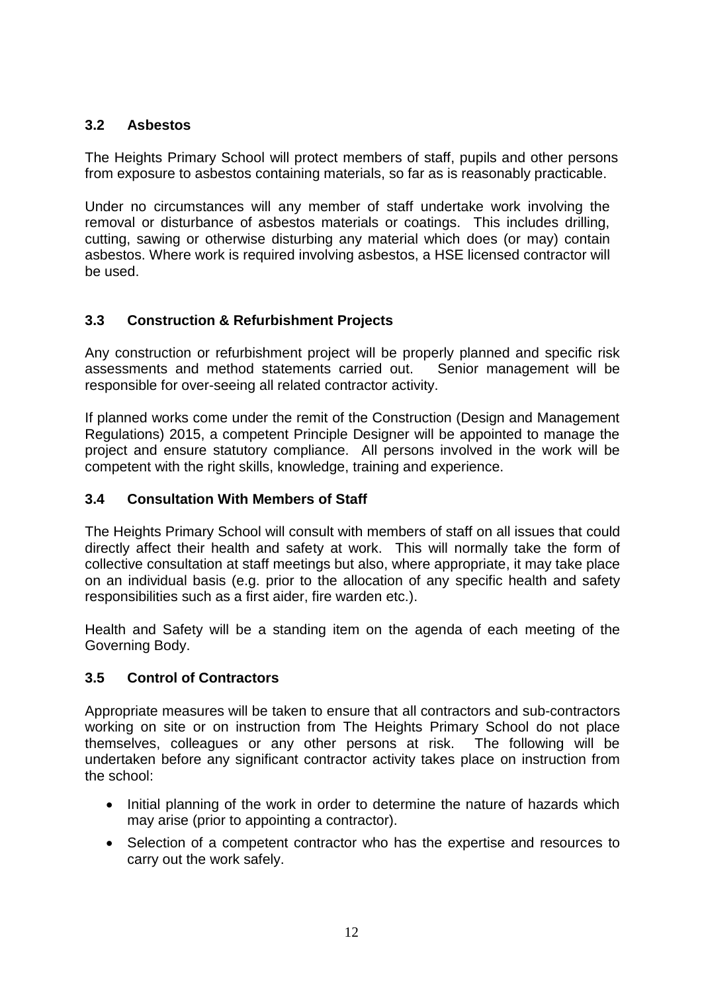# **3.2 Asbestos**

The Heights Primary School will protect members of staff, pupils and other persons from exposure to asbestos containing materials, so far as is reasonably practicable.

Under no circumstances will any member of staff undertake work involving the removal or disturbance of asbestos materials or coatings. This includes drilling, cutting, sawing or otherwise disturbing any material which does (or may) contain asbestos. Where work is required involving asbestos, a HSE licensed contractor will be used.

# **3.3 Construction & Refurbishment Projects**

Any construction or refurbishment project will be properly planned and specific risk assessments and method statements carried out. Senior management will be responsible for over-seeing all related contractor activity.

If planned works come under the remit of the Construction (Design and Management Regulations) 2015, a competent Principle Designer will be appointed to manage the project and ensure statutory compliance. All persons involved in the work will be competent with the right skills, knowledge, training and experience.

# **3.4 Consultation With Members of Staff**

The Heights Primary School will consult with members of staff on all issues that could directly affect their health and safety at work. This will normally take the form of collective consultation at staff meetings but also, where appropriate, it may take place on an individual basis (e.g. prior to the allocation of any specific health and safety responsibilities such as a first aider, fire warden etc.).

Health and Safety will be a standing item on the agenda of each meeting of the Governing Body.

# **3.5 Control of Contractors**

Appropriate measures will be taken to ensure that all contractors and sub-contractors working on site or on instruction from The Heights Primary School do not place themselves, colleagues or any other persons at risk. The following will be undertaken before any significant contractor activity takes place on instruction from the school:

- Initial planning of the work in order to determine the nature of hazards which may arise (prior to appointing a contractor).
- Selection of a competent contractor who has the expertise and resources to carry out the work safely.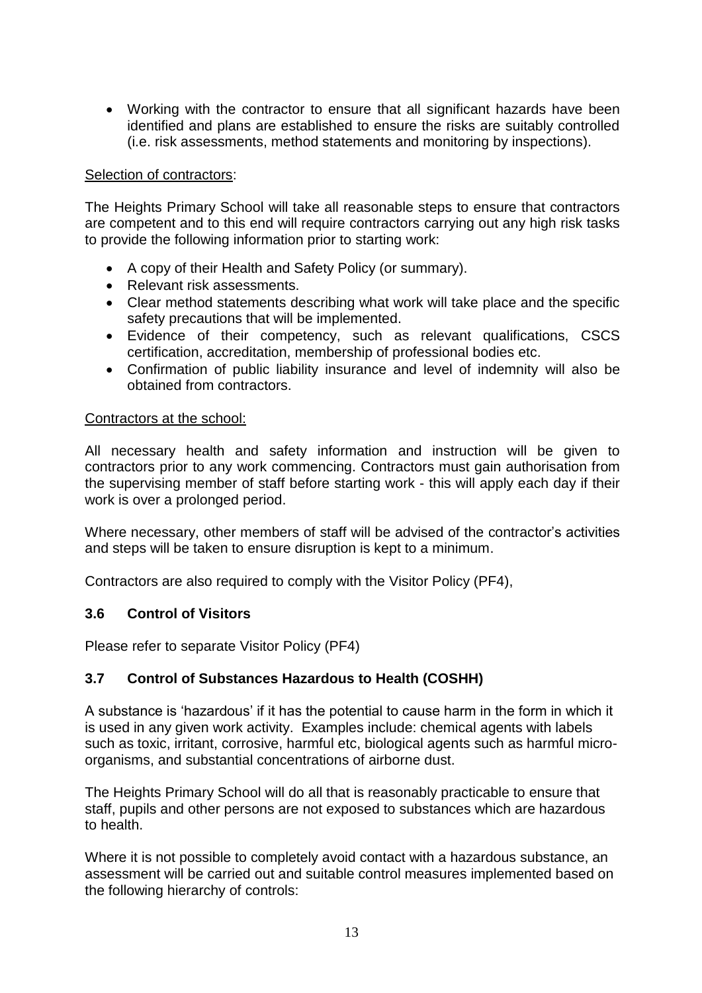Working with the contractor to ensure that all significant hazards have been identified and plans are established to ensure the risks are suitably controlled (i.e. risk assessments, method statements and monitoring by inspections).

#### Selection of contractors:

The Heights Primary School will take all reasonable steps to ensure that contractors are competent and to this end will require contractors carrying out any high risk tasks to provide the following information prior to starting work:

- A copy of their Health and Safety Policy (or summary).
- Relevant risk assessments.
- Clear method statements describing what work will take place and the specific safety precautions that will be implemented.
- Evidence of their competency, such as relevant qualifications, CSCS certification, accreditation, membership of professional bodies etc.
- Confirmation of public liability insurance and level of indemnity will also be obtained from contractors.

#### Contractors at the school:

All necessary health and safety information and instruction will be given to contractors prior to any work commencing. Contractors must gain authorisation from the supervising member of staff before starting work - this will apply each day if their work is over a prolonged period.

Where necessary, other members of staff will be advised of the contractor's activities and steps will be taken to ensure disruption is kept to a minimum.

Contractors are also required to comply with the Visitor Policy (PF4),

# **3.6 Control of Visitors**

Please refer to separate Visitor Policy (PF4)

# **3.7 Control of Substances Hazardous to Health (COSHH)**

A substance is 'hazardous' if it has the potential to cause harm in the form in which it is used in any given work activity. Examples include: chemical agents with labels such as toxic, irritant, corrosive, harmful etc, biological agents such as harmful microorganisms, and substantial concentrations of airborne dust.

The Heights Primary School will do all that is reasonably practicable to ensure that staff, pupils and other persons are not exposed to substances which are hazardous to health.

Where it is not possible to completely avoid contact with a hazardous substance, an assessment will be carried out and suitable control measures implemented based on the following hierarchy of controls: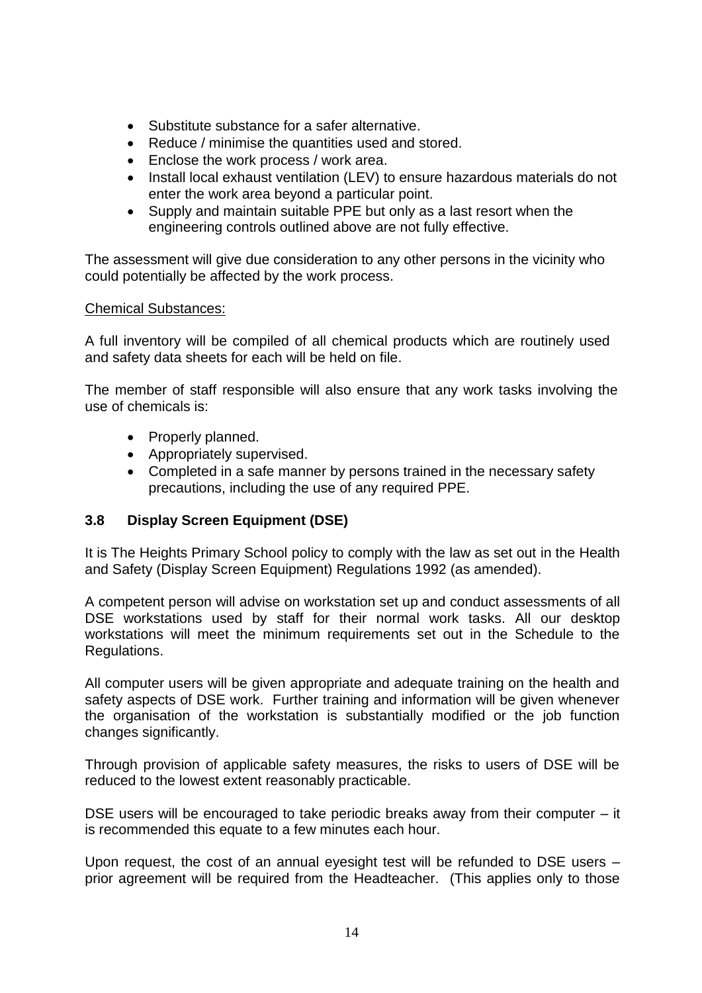- Substitute substance for a safer alternative.
- Reduce / minimise the quantities used and stored.
- Enclose the work process / work area.
- Install local exhaust ventilation (LEV) to ensure hazardous materials do not enter the work area beyond a particular point.
- Supply and maintain suitable PPE but only as a last resort when the engineering controls outlined above are not fully effective.

The assessment will give due consideration to any other persons in the vicinity who could potentially be affected by the work process.

#### Chemical Substances:

A full inventory will be compiled of all chemical products which are routinely used and safety data sheets for each will be held on file.

The member of staff responsible will also ensure that any work tasks involving the use of chemicals is:

- Properly planned.
- Appropriately supervised.
- Completed in a safe manner by persons trained in the necessary safety precautions, including the use of any required PPE.

#### **3.8 Display Screen Equipment (DSE)**

It is The Heights Primary School policy to comply with the law as set out in the Health and Safety (Display Screen Equipment) Regulations 1992 (as amended).

A competent person will advise on workstation set up and conduct assessments of all DSE workstations used by staff for their normal work tasks. All our desktop workstations will meet the minimum requirements set out in the Schedule to the Regulations.

All computer users will be given appropriate and adequate training on the health and safety aspects of DSE work. Further training and information will be given whenever the organisation of the workstation is substantially modified or the job function changes significantly.

Through provision of applicable safety measures, the risks to users of DSE will be reduced to the lowest extent reasonably practicable.

DSE users will be encouraged to take periodic breaks away from their computer – it is recommended this equate to a few minutes each hour.

Upon request, the cost of an annual eyesight test will be refunded to DSE users – prior agreement will be required from the Headteacher. (This applies only to those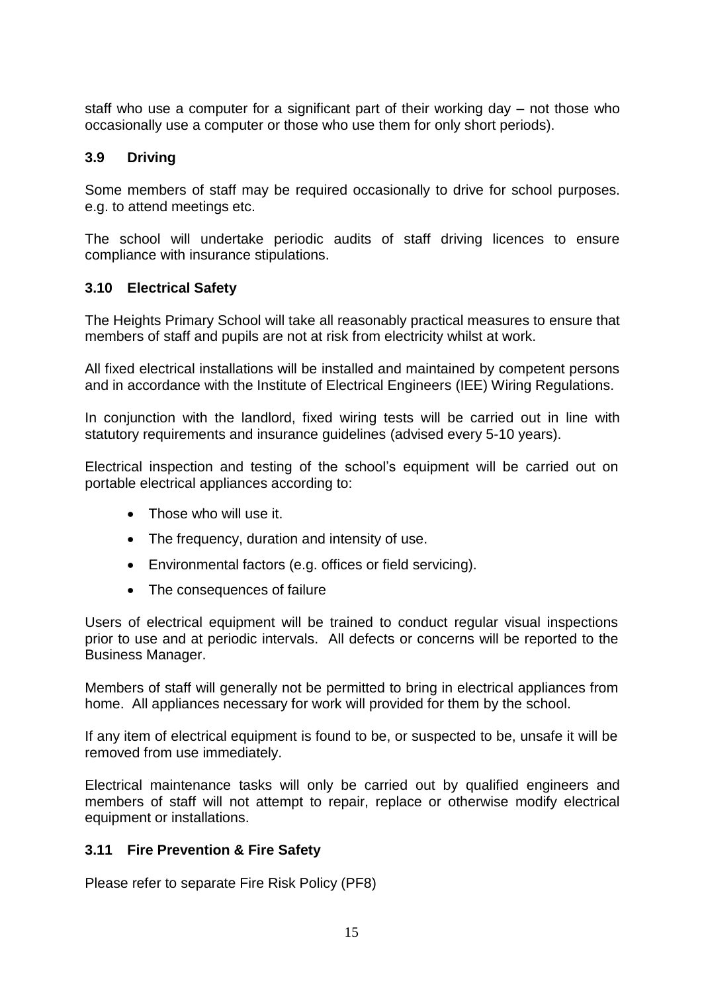staff who use a computer for a significant part of their working day – not those who occasionally use a computer or those who use them for only short periods).

# **3.9 Driving**

Some members of staff may be required occasionally to drive for school purposes. e.g. to attend meetings etc.

The school will undertake periodic audits of staff driving licences to ensure compliance with insurance stipulations.

# **3.10 Electrical Safety**

The Heights Primary School will take all reasonably practical measures to ensure that members of staff and pupils are not at risk from electricity whilst at work.

All fixed electrical installations will be installed and maintained by competent persons and in accordance with the Institute of Electrical Engineers (IEE) Wiring Regulations.

In conjunction with the landlord, fixed wiring tests will be carried out in line with statutory requirements and insurance guidelines (advised every 5-10 years).

Electrical inspection and testing of the school's equipment will be carried out on portable electrical appliances according to:

- Those who will use it.
- The frequency, duration and intensity of use.
- Environmental factors (e.g. offices or field servicing).
- The consequences of failure

Users of electrical equipment will be trained to conduct regular visual inspections prior to use and at periodic intervals. All defects or concerns will be reported to the Business Manager.

Members of staff will generally not be permitted to bring in electrical appliances from home. All appliances necessary for work will provided for them by the school.

If any item of electrical equipment is found to be, or suspected to be, unsafe it will be removed from use immediately.

Electrical maintenance tasks will only be carried out by qualified engineers and members of staff will not attempt to repair, replace or otherwise modify electrical equipment or installations.

# **3.11 Fire Prevention & Fire Safety**

Please refer to separate Fire Risk Policy (PF8)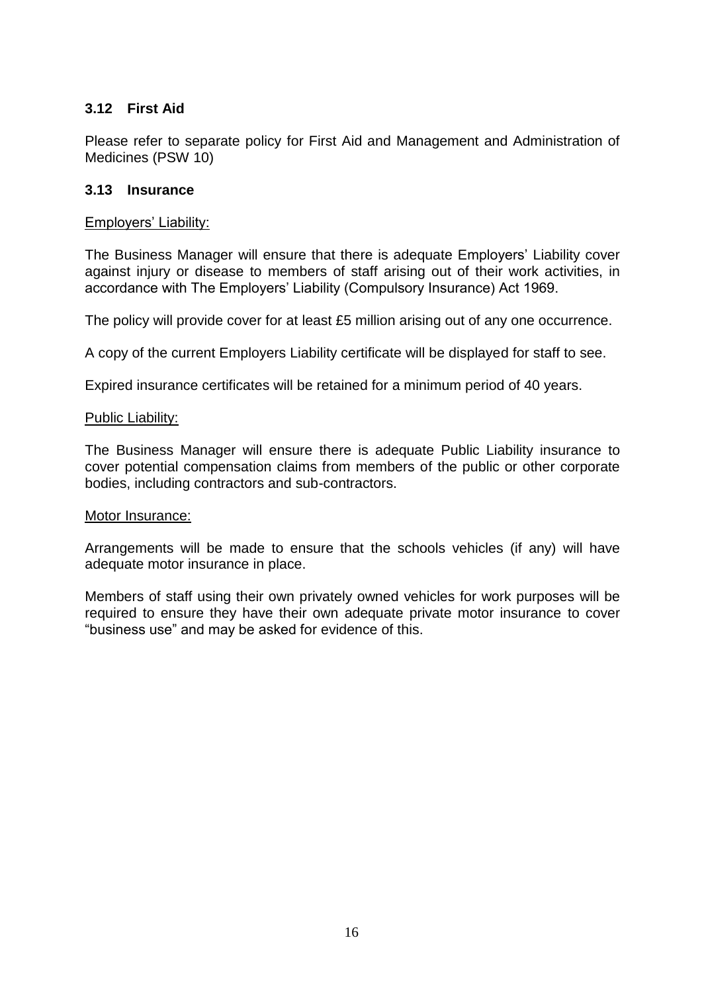#### **3.12 First Aid**

Please refer to separate policy for First Aid and Management and Administration of Medicines (PSW 10)

#### **3.13 Insurance**

#### Employers' Liability:

The Business Manager will ensure that there is adequate Employers' Liability cover against injury or disease to members of staff arising out of their work activities, in accordance with The Employers' Liability (Compulsory Insurance) Act 1969.

The policy will provide cover for at least £5 million arising out of any one occurrence.

A copy of the current Employers Liability certificate will be displayed for staff to see.

Expired insurance certificates will be retained for a minimum period of 40 years.

#### Public Liability:

The Business Manager will ensure there is adequate Public Liability insurance to cover potential compensation claims from members of the public or other corporate bodies, including contractors and sub-contractors.

#### Motor Insurance:

Arrangements will be made to ensure that the schools vehicles (if any) will have adequate motor insurance in place.

Members of staff using their own privately owned vehicles for work purposes will be required to ensure they have their own adequate private motor insurance to cover "business use" and may be asked for evidence of this.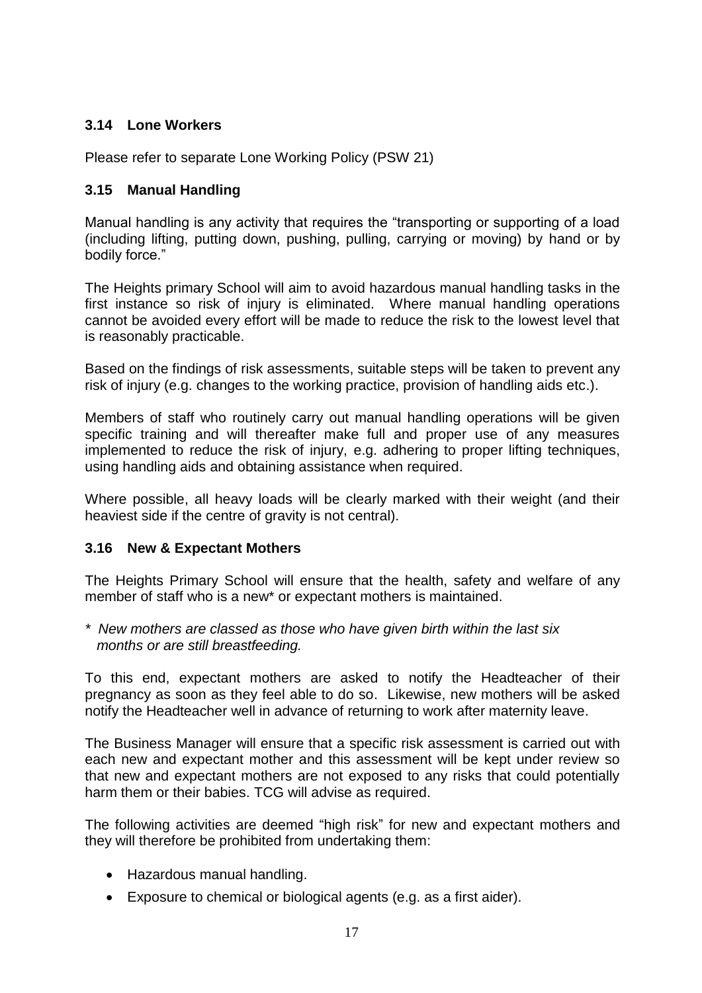# **3.14 Lone Workers**

Please refer to separate Lone Working Policy (PSW 21)

### **3.15 Manual Handling**

Manual handling is any activity that requires the "transporting or supporting of a load (including lifting, putting down, pushing, pulling, carrying or moving) by hand or by bodily force."

The Heights primary School will aim to avoid hazardous manual handling tasks in the first instance so risk of injury is eliminated. Where manual handling operations cannot be avoided every effort will be made to reduce the risk to the lowest level that is reasonably practicable.

Based on the findings of risk assessments, suitable steps will be taken to prevent any risk of injury (e.g. changes to the working practice, provision of handling aids etc.).

Members of staff who routinely carry out manual handling operations will be given specific training and will thereafter make full and proper use of any measures implemented to reduce the risk of injury, e.g. adhering to proper lifting techniques, using handling aids and obtaining assistance when required.

Where possible, all heavy loads will be clearly marked with their weight (and their heaviest side if the centre of gravity is not central).

# **3.16 New & Expectant Mothers**

The Heights Primary School will ensure that the health, safety and welfare of any member of staff who is a new\* or expectant mothers is maintained.

*\* New mothers are classed as those who have given birth within the last six months or are still breastfeeding.*

To this end, expectant mothers are asked to notify the Headteacher of their pregnancy as soon as they feel able to do so. Likewise, new mothers will be asked notify the Headteacher well in advance of returning to work after maternity leave.

The Business Manager will ensure that a specific risk assessment is carried out with each new and expectant mother and this assessment will be kept under review so that new and expectant mothers are not exposed to any risks that could potentially harm them or their babies. TCG will advise as required.

The following activities are deemed "high risk" for new and expectant mothers and they will therefore be prohibited from undertaking them:

- Hazardous manual handling.
- Exposure to chemical or biological agents (e.g. as a first aider).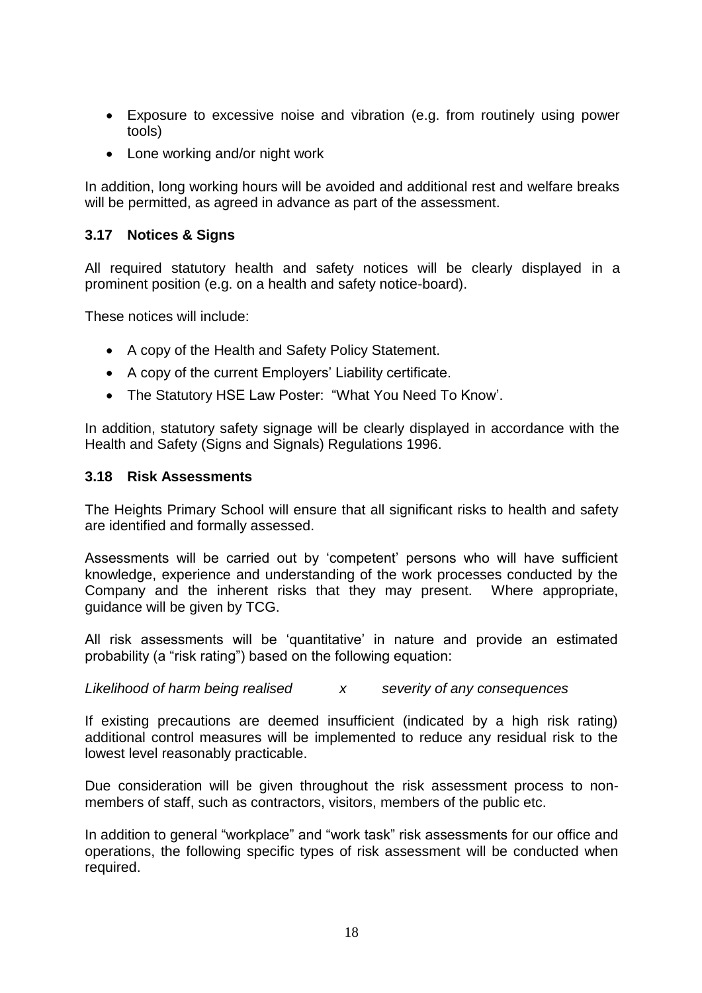- Exposure to excessive noise and vibration (e.g. from routinely using power tools)
- Lone working and/or night work

In addition, long working hours will be avoided and additional rest and welfare breaks will be permitted, as agreed in advance as part of the assessment.

# **3.17 Notices & Signs**

All required statutory health and safety notices will be clearly displayed in a prominent position (e.g. on a health and safety notice-board).

These notices will include:

- A copy of the Health and Safety Policy Statement.
- A copy of the current Employers' Liability certificate.
- The Statutory HSE Law Poster: "What You Need To Know'.

In addition, statutory safety signage will be clearly displayed in accordance with the Health and Safety (Signs and Signals) Regulations 1996.

#### **3.18 Risk Assessments**

The Heights Primary School will ensure that all significant risks to health and safety are identified and formally assessed.

Assessments will be carried out by 'competent' persons who will have sufficient knowledge, experience and understanding of the work processes conducted by the Company and the inherent risks that they may present. Where appropriate, guidance will be given by TCG.

All risk assessments will be 'quantitative' in nature and provide an estimated probability (a "risk rating") based on the following equation:

*Likelihood of harm being realised x severity of any consequences*

If existing precautions are deemed insufficient (indicated by a high risk rating) additional control measures will be implemented to reduce any residual risk to the lowest level reasonably practicable.

Due consideration will be given throughout the risk assessment process to nonmembers of staff, such as contractors, visitors, members of the public etc.

In addition to general "workplace" and "work task" risk assessments for our office and operations, the following specific types of risk assessment will be conducted when required.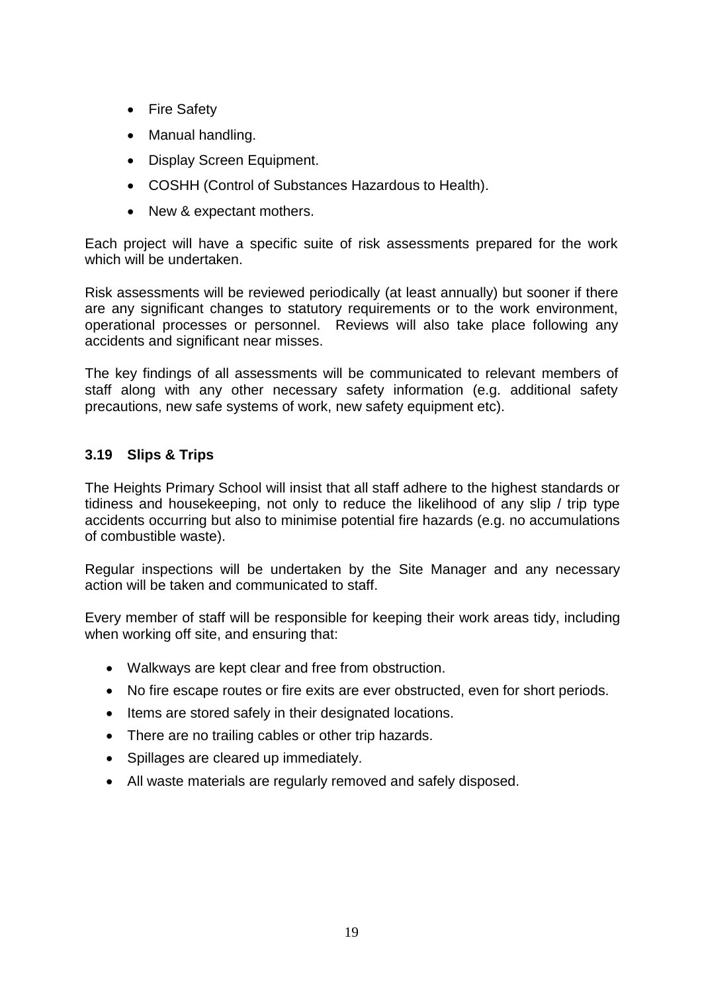- Fire Safety
- Manual handling.
- Display Screen Equipment.
- COSHH (Control of Substances Hazardous to Health).
- New & expectant mothers.

Each project will have a specific suite of risk assessments prepared for the work which will be undertaken.

Risk assessments will be reviewed periodically (at least annually) but sooner if there are any significant changes to statutory requirements or to the work environment, operational processes or personnel. Reviews will also take place following any accidents and significant near misses.

The key findings of all assessments will be communicated to relevant members of staff along with any other necessary safety information (e.g. additional safety precautions, new safe systems of work, new safety equipment etc).

# **3.19 Slips & Trips**

The Heights Primary School will insist that all staff adhere to the highest standards or tidiness and housekeeping, not only to reduce the likelihood of any slip / trip type accidents occurring but also to minimise potential fire hazards (e.g. no accumulations of combustible waste).

Regular inspections will be undertaken by the Site Manager and any necessary action will be taken and communicated to staff.

Every member of staff will be responsible for keeping their work areas tidy, including when working off site, and ensuring that:

- Walkways are kept clear and free from obstruction.
- No fire escape routes or fire exits are ever obstructed, even for short periods.
- Items are stored safely in their designated locations.
- There are no trailing cables or other trip hazards.
- Spillages are cleared up immediately.
- All waste materials are regularly removed and safely disposed.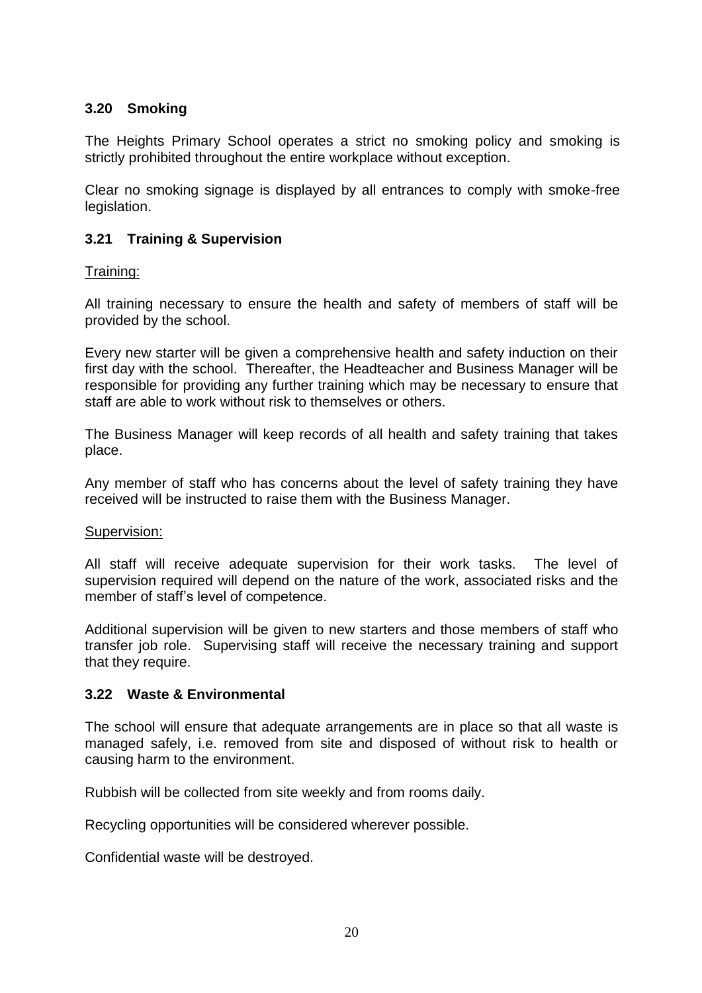# **3.20 Smoking**

The Heights Primary School operates a strict no smoking policy and smoking is strictly prohibited throughout the entire workplace without exception.

Clear no smoking signage is displayed by all entrances to comply with smoke-free legislation.

# **3.21 Training & Supervision**

Training:

All training necessary to ensure the health and safety of members of staff will be provided by the school.

Every new starter will be given a comprehensive health and safety induction on their first day with the school. Thereafter, the Headteacher and Business Manager will be responsible for providing any further training which may be necessary to ensure that staff are able to work without risk to themselves or others.

The Business Manager will keep records of all health and safety training that takes place.

Any member of staff who has concerns about the level of safety training they have received will be instructed to raise them with the Business Manager.

#### Supervision:

All staff will receive adequate supervision for their work tasks. The level of supervision required will depend on the nature of the work, associated risks and the member of staff's level of competence.

Additional supervision will be given to new starters and those members of staff who transfer job role. Supervising staff will receive the necessary training and support that they require.

#### **3.22 Waste & Environmental**

The school will ensure that adequate arrangements are in place so that all waste is managed safely, i.e. removed from site and disposed of without risk to health or causing harm to the environment.

Rubbish will be collected from site weekly and from rooms daily.

Recycling opportunities will be considered wherever possible.

Confidential waste will be destroyed.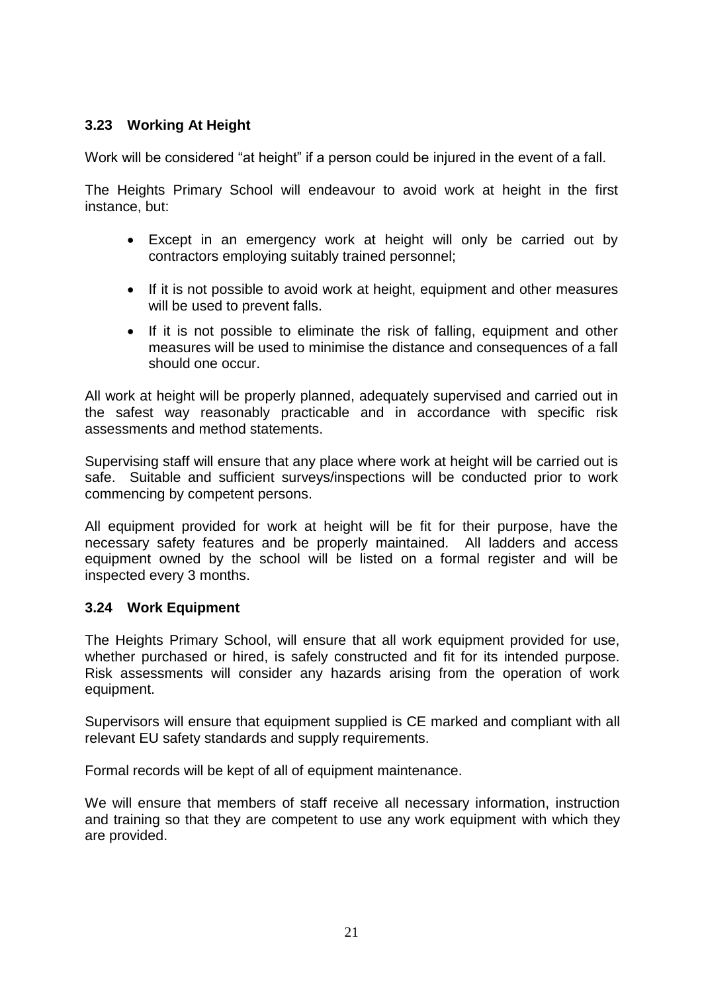# **3.23 Working At Height**

Work will be considered "at height" if a person could be injured in the event of a fall.

The Heights Primary School will endeavour to avoid work at height in the first instance, but:

- Except in an emergency work at height will only be carried out by contractors employing suitably trained personnel;
- If it is not possible to avoid work at height, equipment and other measures will be used to prevent falls.
- If it is not possible to eliminate the risk of falling, equipment and other measures will be used to minimise the distance and consequences of a fall should one occur.

All work at height will be properly planned, adequately supervised and carried out in the safest way reasonably practicable and in accordance with specific risk assessments and method statements.

Supervising staff will ensure that any place where work at height will be carried out is safe. Suitable and sufficient surveys/inspections will be conducted prior to work commencing by competent persons.

All equipment provided for work at height will be fit for their purpose, have the necessary safety features and be properly maintained. All ladders and access equipment owned by the school will be listed on a formal register and will be inspected every 3 months.

#### **3.24 Work Equipment**

The Heights Primary School, will ensure that all work equipment provided for use, whether purchased or hired, is safely constructed and fit for its intended purpose. Risk assessments will consider any hazards arising from the operation of work equipment.

Supervisors will ensure that equipment supplied is CE marked and compliant with all relevant EU safety standards and supply requirements.

Formal records will be kept of all of equipment maintenance.

We will ensure that members of staff receive all necessary information, instruction and training so that they are competent to use any work equipment with which they are provided.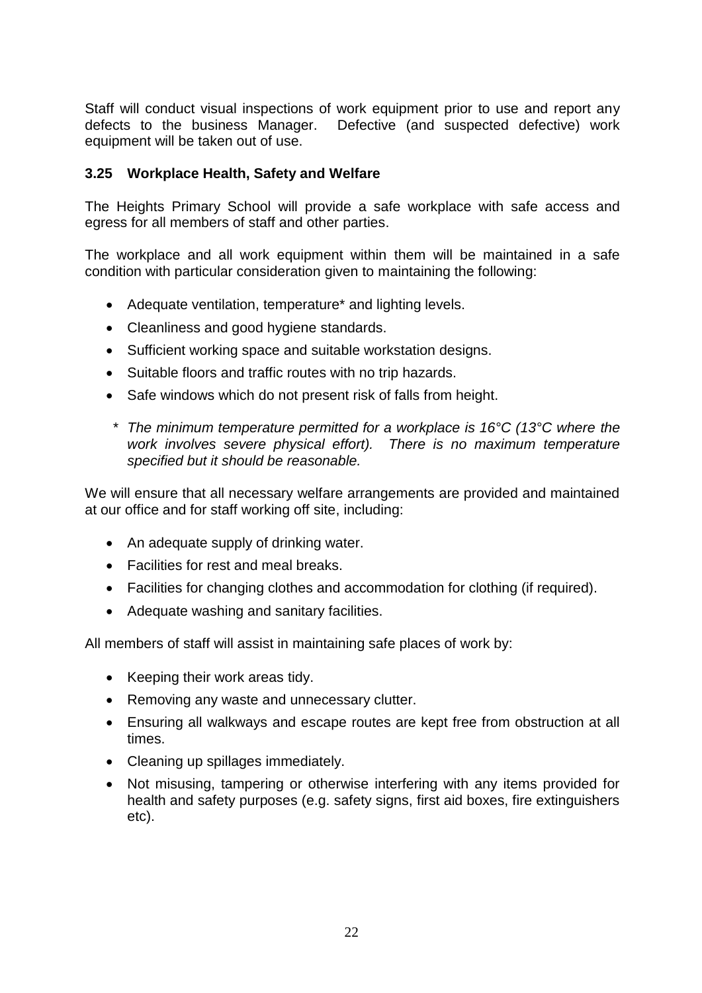Staff will conduct visual inspections of work equipment prior to use and report any defects to the business Manager. Defective (and suspected defective) work equipment will be taken out of use.

#### **3.25 Workplace Health, Safety and Welfare**

The Heights Primary School will provide a safe workplace with safe access and egress for all members of staff and other parties.

The workplace and all work equipment within them will be maintained in a safe condition with particular consideration given to maintaining the following:

- Adequate ventilation, temperature\* and lighting levels.
- Cleanliness and good hygiene standards.
- Sufficient working space and suitable workstation designs.
- Suitable floors and traffic routes with no trip hazards.
- Safe windows which do not present risk of falls from height.
- *\* The minimum temperature permitted for a workplace is 16°C (13°C where the work involves severe physical effort). There is no maximum temperature specified but it should be reasonable.*

We will ensure that all necessary welfare arrangements are provided and maintained at our office and for staff working off site, including:

- An adequate supply of drinking water.
- Facilities for rest and meal breaks.
- Facilities for changing clothes and accommodation for clothing (if required).
- Adequate washing and sanitary facilities.

All members of staff will assist in maintaining safe places of work by:

- Keeping their work areas tidy.
- Removing any waste and unnecessary clutter.
- Ensuring all walkways and escape routes are kept free from obstruction at all times.
- Cleaning up spillages immediately.
- Not misusing, tampering or otherwise interfering with any items provided for health and safety purposes (e.g. safety signs, first aid boxes, fire extinguishers etc).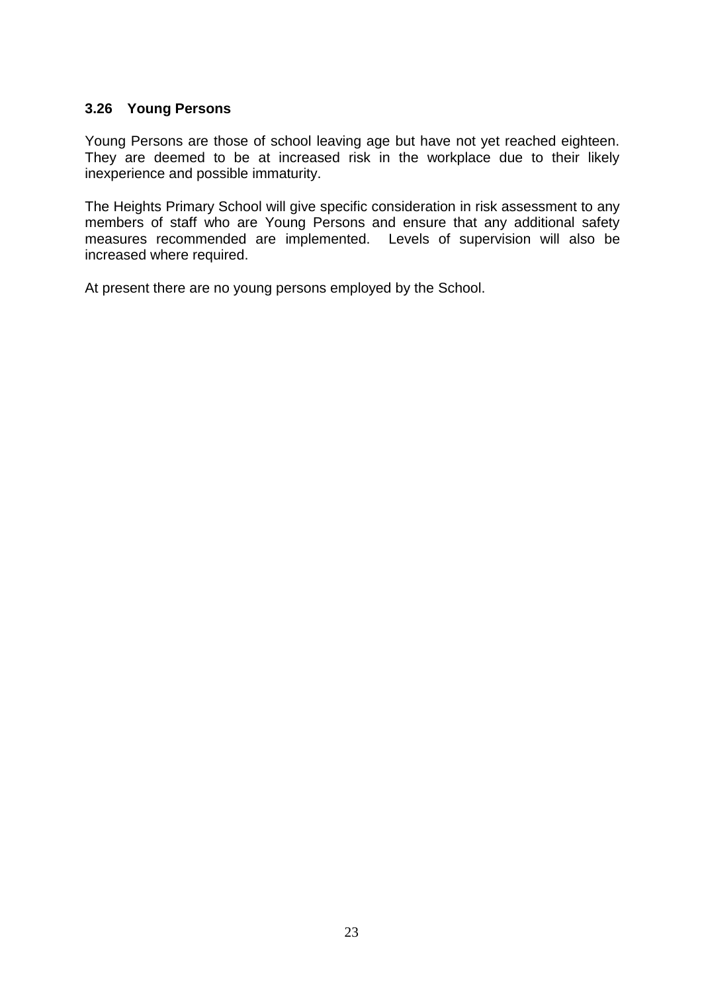### **3.26 Young Persons**

Young Persons are those of school leaving age but have not yet reached eighteen. They are deemed to be at increased risk in the workplace due to their likely inexperience and possible immaturity.

The Heights Primary School will give specific consideration in risk assessment to any members of staff who are Young Persons and ensure that any additional safety measures recommended are implemented. Levels of supervision will also be increased where required.

At present there are no young persons employed by the School.